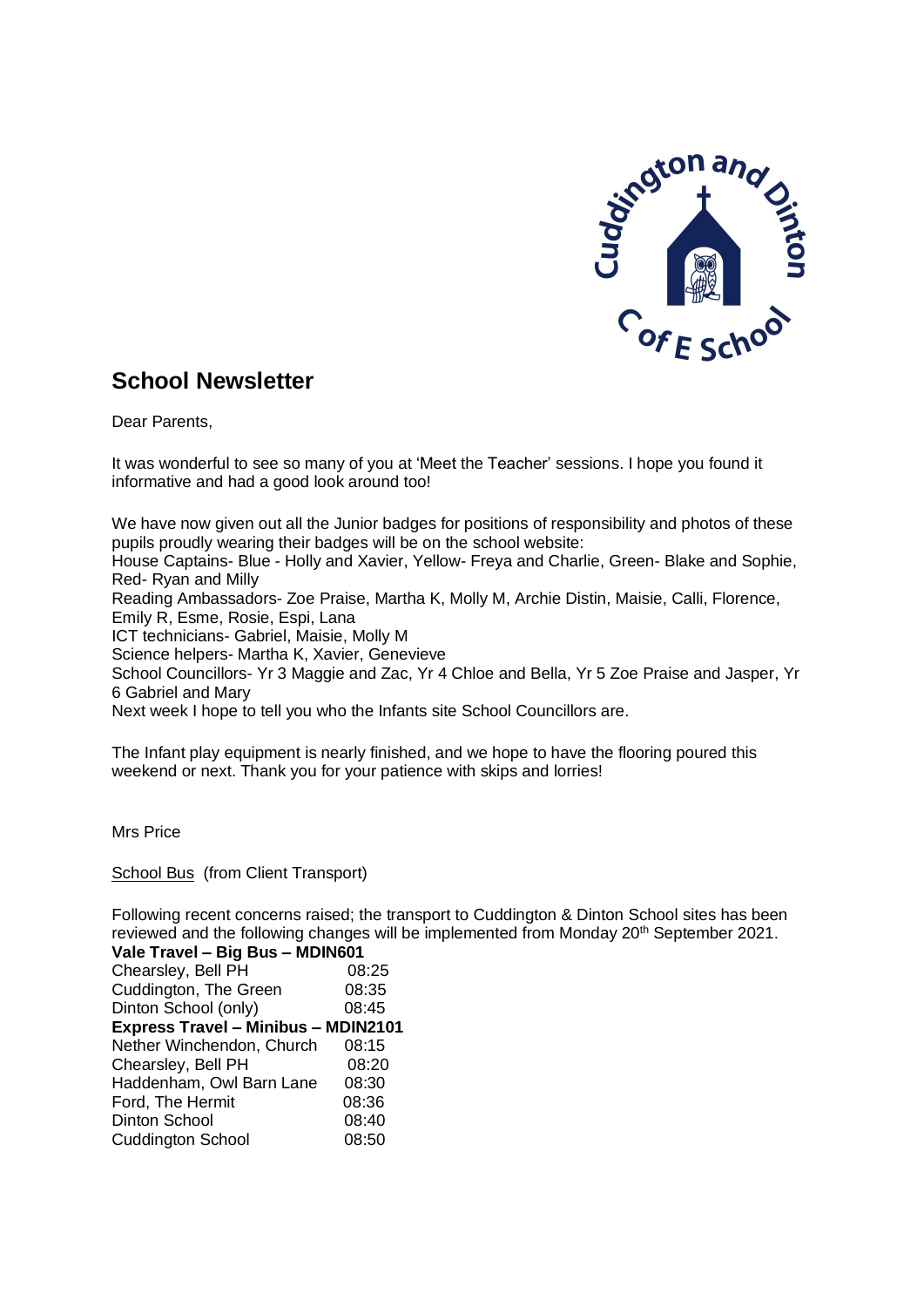

# **School Newsletter**

Dear Parents,

It was wonderful to see so many of you at 'Meet the Teacher' sessions. I hope you found it informative and had a good look around too!

We have now given out all the Junior badges for positions of responsibility and photos of these pupils proudly wearing their badges will be on the school website: House Captains- Blue - Holly and Xavier, Yellow- Freya and Charlie, Green- Blake and Sophie, Red- Ryan and Milly Reading Ambassadors- Zoe Praise, Martha K, Molly M, Archie Distin, Maisie, Calli, Florence, Emily R, Esme, Rosie, Espi, Lana ICT technicians- Gabriel, Maisie, Molly M Science helpers- Martha K, Xavier, Genevieve School Councillors- Yr 3 Maggie and Zac, Yr 4 Chloe and Bella, Yr 5 Zoe Praise and Jasper, Yr 6 Gabriel and Mary Next week I hope to tell you who the Infants site School Councillors are.

The Infant play equipment is nearly finished, and we hope to have the flooring poured this weekend or next. Thank you for your patience with skips and lorries!

Mrs Price

School Bus (from Client Transport)

Following recent concerns raised; the transport to Cuddington & Dinton School sites has been reviewed and the following changes will be implemented from Monday 20<sup>th</sup> September 2021.

| Vale Travel - Big Bus - MDIN601            |       |
|--------------------------------------------|-------|
| Chearsley, Bell PH                         | 08:25 |
| Cuddington, The Green                      | 08:35 |
| Dinton School (only)                       | 08:45 |
| <b>Express Travel - Minibus - MDIN2101</b> |       |
| Nether Winchendon, Church                  | 08:15 |
| Chearsley, Bell PH                         | 08:20 |
| Haddenham, Owl Barn Lane                   | 08:30 |
| Ford, The Hermit                           | 08:36 |
| <b>Dinton School</b>                       | 08:40 |
| <b>Cuddington School</b>                   | 08:50 |
|                                            |       |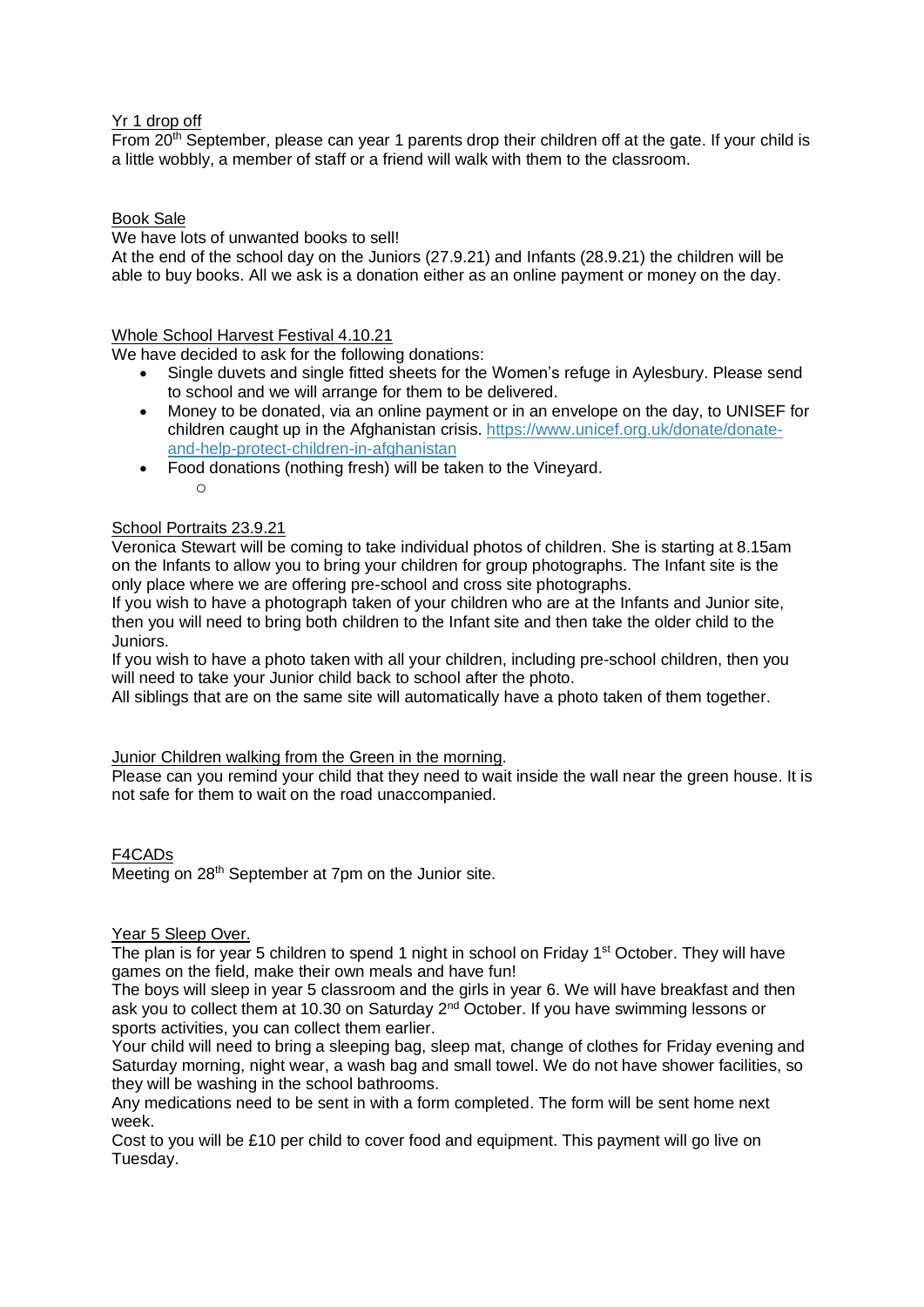# Yr 1 drop off

From 20<sup>th</sup> September, please can year 1 parents drop their children off at the gate. If your child is a little wobbly, a member of staff or a friend will walk with them to the classroom.

# Book Sale

We have lots of unwanted books to sell!

At the end of the school day on the Juniors (27.9.21) and Infants (28.9.21) the children will be able to buy books. All we ask is a donation either as an online payment or money on the day.

## Whole School Harvest Festival 4.10.21

We have decided to ask for the following donations:

- Single duvets and single fitted sheets for the Women's refuge in Aylesbury. Please send to school and we will arrange for them to be delivered.
- Money to be donated, via an online payment or in an envelope on the day, to UNISEF for children caught up in the Afghanistan crisis. [https://www.unicef.org.uk/donate/donate](https://www.unicef.org.uk/donate/donate-and-help-protect-children-in-afghanistan)[and-help-protect-children-in-afghanistan](https://www.unicef.org.uk/donate/donate-and-help-protect-children-in-afghanistan)
- Food donations (nothing fresh) will be taken to the Vineyard. o

## School Portraits 23.9.21

Veronica Stewart will be coming to take individual photos of children. She is starting at 8.15am on the Infants to allow you to bring your children for group photographs. The Infant site is the only place where we are offering pre-school and cross site photographs.

If you wish to have a photograph taken of your children who are at the Infants and Junior site, then you will need to bring both children to the Infant site and then take the older child to the Juniors.

If you wish to have a photo taken with all your children, including pre-school children, then you will need to take your Junior child back to school after the photo.

All siblings that are on the same site will automatically have a photo taken of them together.

## Junior Children walking from the Green in the morning.

Please can you remind your child that they need to wait inside the wall near the green house. It is not safe for them to wait on the road unaccompanied.

## F4CADs

Meeting on 28<sup>th</sup> September at 7pm on the Junior site.

# Year 5 Sleep Over.

The plan is for year 5 children to spend 1 night in school on Friday 1<sup>st</sup> October. They will have games on the field, make their own meals and have fun!

The boys will sleep in year 5 classroom and the girls in year 6. We will have breakfast and then ask you to collect them at 10.30 on Saturday 2<sup>nd</sup> October. If you have swimming lessons or sports activities, you can collect them earlier.

Your child will need to bring a sleeping bag, sleep mat, change of clothes for Friday evening and Saturday morning, night wear, a wash bag and small towel. We do not have shower facilities, so they will be washing in the school bathrooms.

Any medications need to be sent in with a form completed. The form will be sent home next week.

Cost to you will be £10 per child to cover food and equipment. This payment will go live on Tuesday.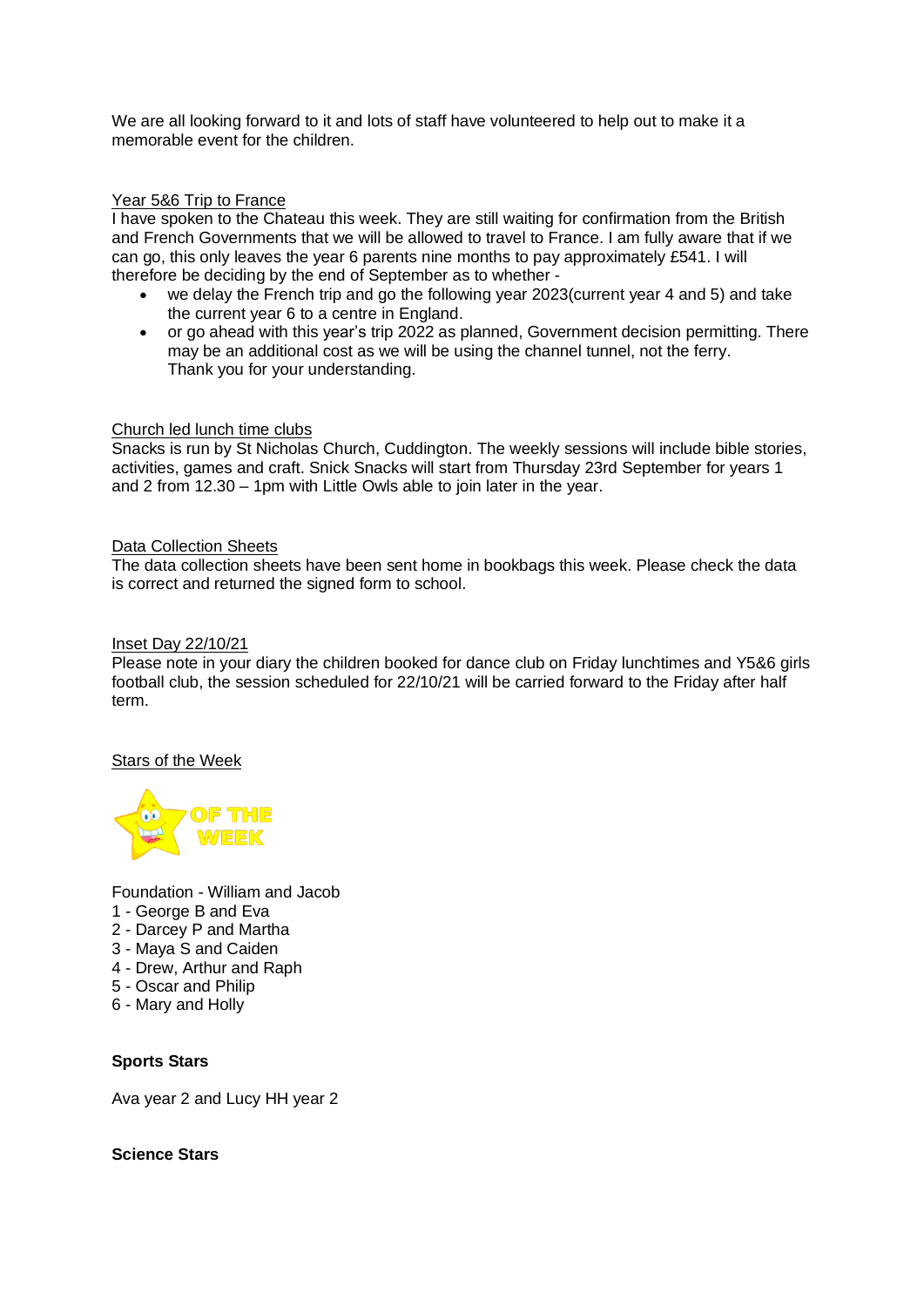We are all looking forward to it and lots of staff have volunteered to help out to make it a memorable event for the children.

## Year 5&6 Trip to France

I have spoken to the Chateau this week. They are still waiting for confirmation from the British and French Governments that we will be allowed to travel to France. I am fully aware that if we can go, this only leaves the year 6 parents nine months to pay approximately £541. I will therefore be deciding by the end of September as to whether -

- we delay the French trip and go the following year 2023(current year 4 and 5) and take the current year 6 to a centre in England.
- or go ahead with this year's trip 2022 as planned, Government decision permitting. There may be an additional cost as we will be using the channel tunnel, not the ferry. Thank you for your understanding.

## Church led lunch time clubs

Snacks is run by St Nicholas Church, Cuddington. The weekly sessions will include bible stories, activities, games and craft. Snick Snacks will start from Thursday 23rd September for years 1 and 2 from 12.30 – 1pm with Little Owls able to join later in the year.

## Data Collection Sheets

The data collection sheets have been sent home in bookbags this week. Please check the data is correct and returned the signed form to school.

#### Inset Day 22/10/21

Please note in your diary the children booked for dance club on Friday lunchtimes and Y5&6 girls football club, the session scheduled for 22/10/21 will be carried forward to the Friday after half term.

## Stars of the Week



Foundation - William and Jacob

- 1 George B and Eva
- 2 Darcey P and Martha
- 3 Maya S and Caiden
- 4 Drew, Arthur and Raph
- 5 Oscar and Philip
- 6 Mary and Holly

## **Sports Stars**

Ava year 2 and Lucy HH year 2

**Science Stars**